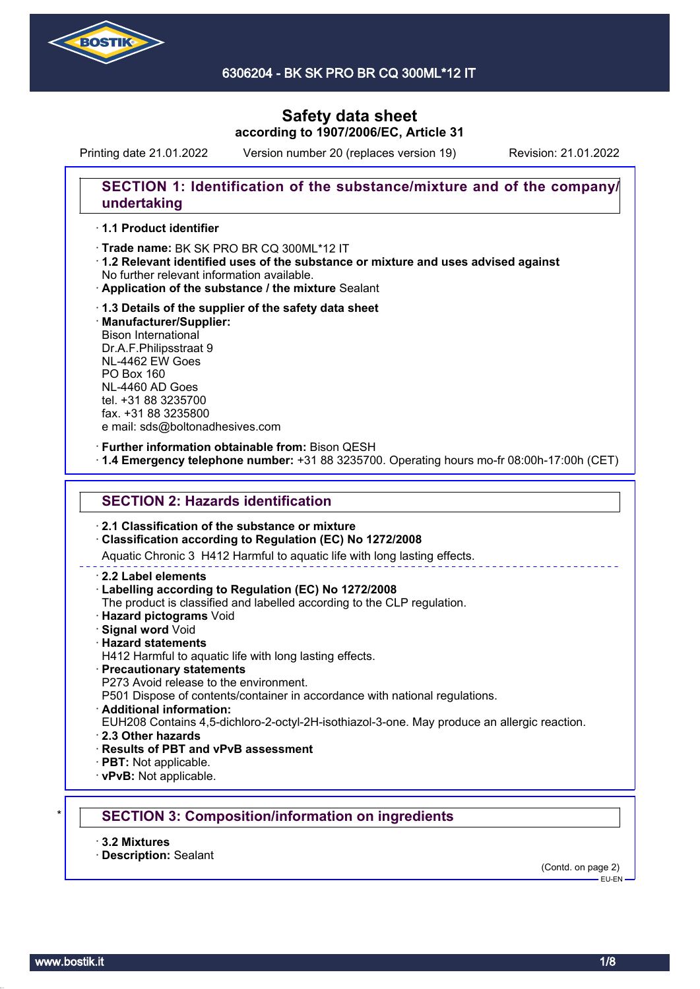

6306204 - BK SK PRO BR CQ 300ML\*12 IT

# **Safety data sheet according to 1907/2006/EC, Article 31**

Printing date 21.01.2022 Version number 20 (replaces version 19) Revision: 21.01.2022

# **SECTION 1: Identification of the substance/mixture and of the company/ undertaking**

### · **1.1 Product identifier**

· Trade name: BK SK PRO BR CQ 300ML\*12 IT

- · **1.2 Relevant identified uses of the substance or mixture and uses advised against** No further relevant information available.
- · **Application of the substance / the mixture** Sealant
- · **1.3 Details of the supplier of the safety data sheet** · **Manufacturer/Supplier:** Bison International Dr.A.F.Philipsstraat 9 NL-4462 EW Goes PO Box 160 NL-4460 AD Goes tel. +31 88 3235700 fax. +31 88 3235800 e mail: sds@boltonadhesives.com

#### · **Further information obtainable from:** Bison QESH

· **1.4 Emergency telephone number:** +31 88 3235700. Operating hours mo-fr 08:00h-17:00h (CET)

## **SECTION 2: Hazards identification**

### · **2.1 Classification of the substance or mixture**

### · **Classification according to Regulation (EC) No 1272/2008**

Aquatic Chronic 3 H412 Harmful to aquatic life with long lasting effects.

#### · **2.2 Label elements**

### · **Labelling according to Regulation (EC) No 1272/2008**

The product is classified and labelled according to the CLP regulation.

- · **Hazard pictograms** Void
- · **Signal word** Void
- · **Hazard statements**
- H412 Harmful to aquatic life with long lasting effects.
- · **Precautionary statements**
- P273 Avoid release to the environment.

P501 Dispose of contents/container in accordance with national regulations.

· **Additional information:**

EUH208 Contains 4,5-dichloro-2-octyl-2H-isothiazol-3-one. May produce an allergic reaction.

- · **2.3 Other hazards**
- · **Results of PBT and vPvB assessment**
- · **PBT:** Not applicable.
- · **vPvB:** Not applicable.

## \* **SECTION 3: Composition/information on ingredients**

- · **3.2 Mixtures**
- · **Description:** Sealant

(Contd. on page 2)  $-$ EU-EN-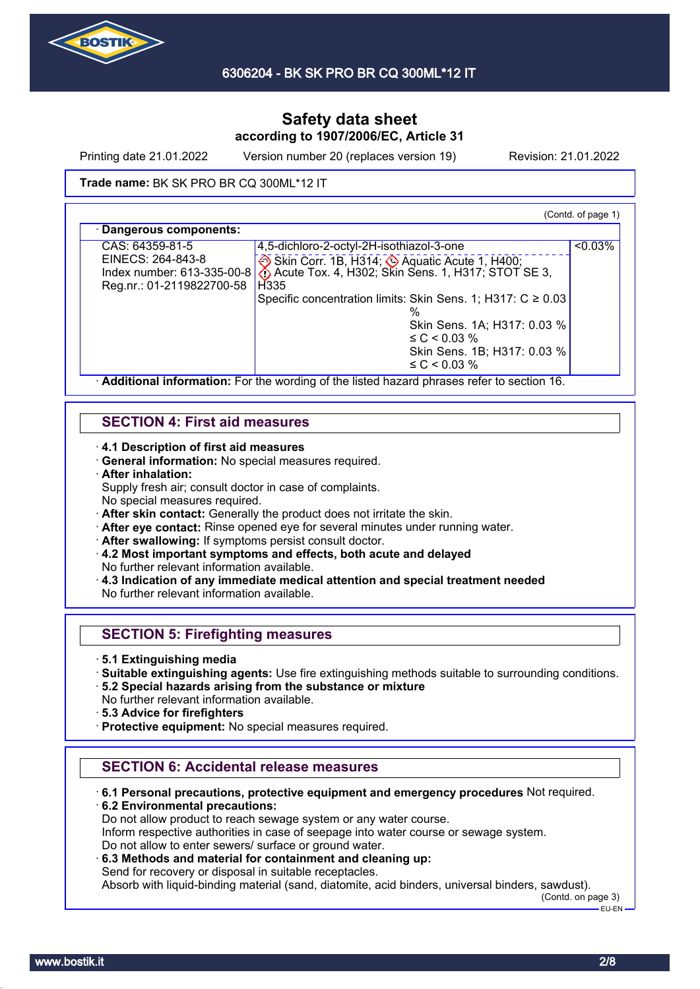

Printing date 21.01.2022 Version number 20 (replaces version 19) Revision: 21.01.2022

### **Trade name: BK SK PRO BR CQ 300ML\*12 IT**

(Contd. of page 1)

| CAS: 64359-81-5              | 4,5-dichloro-2-octyl-2H-isothiazol-3-one                        | $< 0.03\%$ |
|------------------------------|-----------------------------------------------------------------|------------|
| EINECS: 264-843-8            | Skin Corr. 1B, H314; Aquatic Acute 1, H400;                     |            |
| Index number: $613-335-00-8$ | Acute Tox. 4, H302; Skin Sens. 1, H317; STOT SE 3,              |            |
| Reg.nr.: 01-2119822700-58    | H <sub>335</sub>                                                |            |
|                              | Specific concentration limits: Skin Sens. 1; H317: $C \ge 0.03$ |            |
|                              |                                                                 |            |
|                              | Skin Sens. 1A; H317: 0.03 %                                     |            |
|                              | $\leq C$ < 0.03 %                                               |            |
|                              | Skin Sens. 1B; H317: 0.03 %                                     |            |
|                              | $\leq C < 0.03 \%$                                              |            |

## **SECTION 4: First aid measures**

· **4.1 Description of first aid measures**

· **General information:** No special measures required.

· **After inhalation:**

Supply fresh air; consult doctor in case of complaints.

- No special measures required.
- · **After skin contact:** Generally the product does not irritate the skin.
- · **After eye contact:** Rinse opened eye for several minutes under running water.
- After swallowing: If symptoms persist consult doctor.
- · **4.2 Most important symptoms and effects, both acute and delayed** No further relevant information available.
- · **4.3 Indication of any immediate medical attention and special treatment needed** No further relevant information available.

## **SECTION 5: Firefighting measures**

- · **5.1 Extinguishing media**
- · **Suitable extinguishing agents:** Use fire extinguishing methods suitable to surrounding conditions.
- · **5.2 Special hazards arising from the substance or mixture**
- No further relevant information available.
- · **5.3 Advice for firefighters**
- · **Protective equipment:** No special measures required.

## **SECTION 6: Accidental release measures**

· **6.1 Personal precautions, protective equipment and emergency procedures** Not required.

· **6.2 Environmental precautions:** Do not allow product to reach sewage system or any water course. Inform respective authorities in case of seepage into water course or sewage system. Do not allow to enter sewers/ surface or ground water.

· **6.3 Methods and material for containment and cleaning up:** Send for recovery or disposal in suitable receptacles.

Absorb with liquid-binding material (sand, diatomite, acid binders, universal binders, sawdust).

(Contd. on page 3)

 $E = F + F$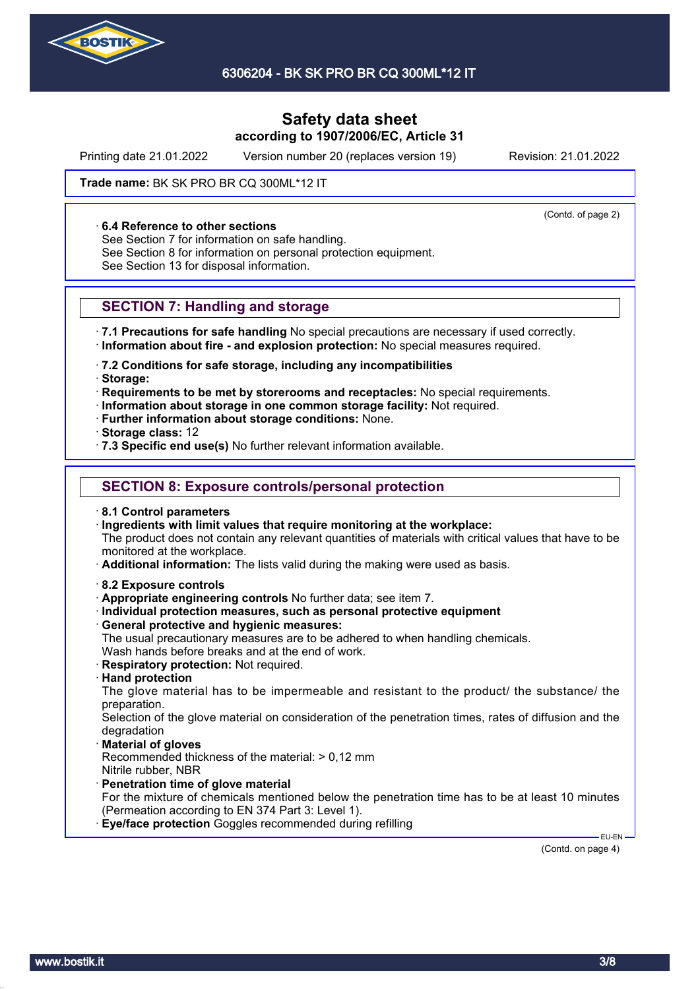

Printing date 21.01.2022 Version number 20 (replaces version 19) Revision: 21.01.2022

(Contd. of page 2)

### **Trade name: BK SK PRO BR CQ 300ML\*12 IT**

### · **6.4 Reference to other sections**

See Section 7 for information on safe handling.

See Section 8 for information on personal protection equipment.

See Section 13 for disposal information.

## **SECTION 7: Handling and storage**

· **7.1 Precautions for safe handling** No special precautions are necessary if used correctly. · **Information about fire - and explosion protection:** No special measures required.

· **7.2 Conditions for safe storage, including any incompatibilities**

· **Storage:**

· **Requirements to be met by storerooms and receptacles:** No special requirements.

- · **Information about storage in one common storage facility:** Not required.
- · **Further information about storage conditions:** None.

· **Storage class:** 12

· **7.3 Specific end use(s)** No further relevant information available.

## **SECTION 8: Exposure controls/personal protection**

· **8.1 Control parameters**

· **Ingredients with limit values that require monitoring at the workplace:**

The product does not contain any relevant quantities of materials with critical values that have to be monitored at the workplace.

· **Additional information:** The lists valid during the making were used as basis.

- · **8.2 Exposure controls**
- · **Appropriate engineering controls** No further data; see item 7.
- · **Individual protection measures, such as personal protective equipment**
- · **General protective and hygienic measures:**

The usual precautionary measures are to be adhered to when handling chemicals. Wash hands before breaks and at the end of work.

- · **Respiratory protection:** Not required.
- · **Hand protection**

The glove material has to be impermeable and resistant to the product/ the substance/ the preparation.

Selection of the glove material on consideration of the penetration times, rates of diffusion and the degradation

· **Material of gloves**

Recommended thickness of the material: > 0,12 mm Nitrile rubber, NBR

- · **Penetration time of glove material**
- For the mixture of chemicals mentioned below the penetration time has to be at least 10 minutes (Permeation according to EN 374 Part 3: Level 1).

**Eye/face protection** Goggles recommended during refilling

(Contd. on page 4)

EU-EN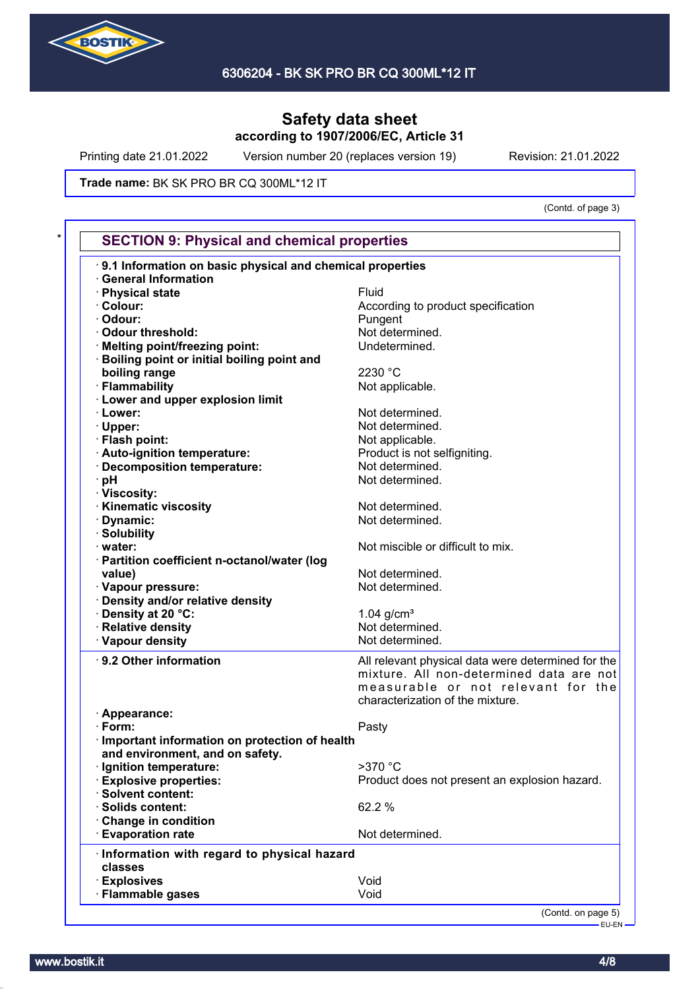

Printing date 21.01.2022 Version number 20 (replaces version 19) Revision: 21.01.2022

**Trade name: BK SK PRO BR CQ 300ML\*12 IT** 

(Contd. of page 3)

| 9.1 Information on basic physical and chemical properties |                                                    |
|-----------------------------------------------------------|----------------------------------------------------|
| <b>General Information</b>                                |                                                    |
| · Physical state                                          | Fluid                                              |
| · Colour:                                                 | According to product specification                 |
| · Odour:                                                  | Pungent                                            |
| · Odour threshold:                                        | Not determined.                                    |
| · Melting point/freezing point:                           | Undetermined.                                      |
| Boiling point or initial boiling point and                |                                                    |
| boiling range                                             | 2230 °C                                            |
| · Flammability                                            | Not applicable.                                    |
| · Lower and upper explosion limit                         |                                                    |
| · Lower:                                                  | Not determined.                                    |
| · Upper:                                                  | Not determined.                                    |
| · Flash point:                                            | Not applicable.                                    |
| · Auto-ignition temperature:                              | Product is not selfigniting.                       |
| · Decomposition temperature:                              | Not determined.                                    |
|                                                           | Not determined.                                    |
| · pH                                                      |                                                    |
| · Viscosity:<br>· Kinematic viscosity                     |                                                    |
|                                                           | Not determined.                                    |
| · Dynamic:                                                | Not determined.                                    |
| · Solubility                                              |                                                    |
| water:                                                    | Not miscible or difficult to mix.                  |
| · Partition coefficient n-octanol/water (log              |                                                    |
| value)                                                    | Not determined.                                    |
| · Vapour pressure:                                        | Not determined.                                    |
| · Density and/or relative density                         |                                                    |
| Density at 20 °C:                                         | $1.04$ g/cm <sup>3</sup>                           |
| <b>Relative density</b>                                   | Not determined.                                    |
| · Vapour density                                          | Not determined.                                    |
| · 9.2 Other information                                   | All relevant physical data were determined for the |
|                                                           | mixture. All non-determined data are not           |
|                                                           | measurable or not relevant for the                 |
|                                                           | characterization of the mixture.                   |
| · Appearance:                                             |                                                    |
| $\cdot$ Form:                                             | Pasty                                              |
| Important information on protection of health             |                                                    |
| and environment, and on safety.                           |                                                    |
| · Ignition temperature:                                   | >370 °C                                            |
| <b>Explosive properties:</b>                              | Product does not present an explosion hazard.      |
| · Solvent content:                                        |                                                    |
| Solids content:                                           | 62.2 %                                             |
| Change in condition                                       |                                                    |
| <b>Evaporation rate</b>                                   | Not determined.                                    |
|                                                           |                                                    |
| · Information with regard to physical hazard              |                                                    |
| classes                                                   |                                                    |
| <b>Explosives</b>                                         | Void<br>Void                                       |
| <b>Flammable gases</b>                                    |                                                    |

EU-EN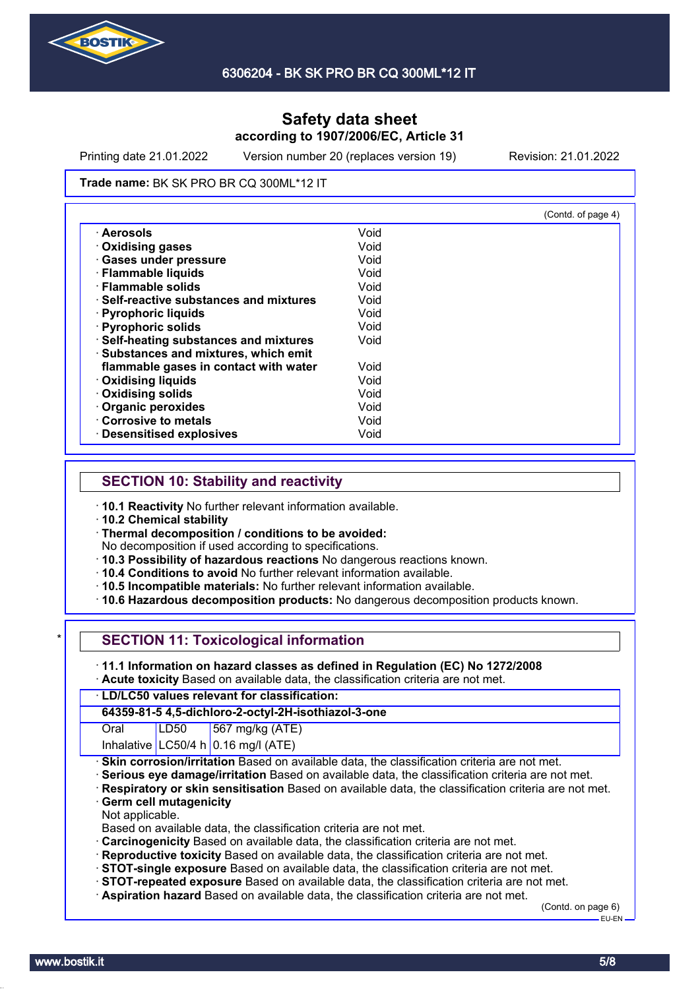

Printing date 21.01.2022 Version number 20 (replaces version 19) Revision: 21.01.2022

#### **Trade name: BK SK PRO BR CQ 300ML\*12 IT**

|                                              |      | (Contd. of page 4) |
|----------------------------------------------|------|--------------------|
| · Aerosols                                   | Void |                    |
| <b>Oxidising gases</b>                       | Void |                    |
| <b>Gases under pressure</b>                  | Void |                    |
| · Flammable liquids                          | Void |                    |
| · Flammable solids                           | Void |                    |
| <b>Self-reactive substances and mixtures</b> | Void |                    |
| · Pyrophoric liquids                         | Void |                    |
| · Pyrophoric solids                          | Void |                    |
| · Self-heating substances and mixtures       | Void |                    |
| · Substances and mixtures, which emit        |      |                    |
| flammable gases in contact with water        | Void |                    |
| <b>Oxidising liquids</b>                     | Void |                    |
| <b>Oxidising solids</b>                      | Void |                    |
| Organic peroxides                            | Void |                    |
| Corrosive to metals                          | Void |                    |
| · Desensitised explosives                    | Void |                    |

## **SECTION 10: Stability and reactivity**

· **10.1 Reactivity** No further relevant information available.

· **10.2 Chemical stability**

· **Thermal decomposition / conditions to be avoided:**

No decomposition if used according to specifications.

- · **10.3 Possibility of hazardous reactions** No dangerous reactions known.
- · **10.4 Conditions to avoid** No further relevant information available.
- · **10.5 Incompatible materials:** No further relevant information available.
- · **10.6 Hazardous decomposition products:** No dangerous decomposition products known.

| * I |  |  |  |  |  |  | <b>SECTION 11: Toxicological information</b> |
|-----|--|--|--|--|--|--|----------------------------------------------|
|-----|--|--|--|--|--|--|----------------------------------------------|

- · **11.1 Information on hazard classes as defined in Regulation (EC) No 1272/2008**
- · **Acute toxicity** Based on available data, the classification criteria are not met.

### · **LD/LC50 values relevant for classification:**

### **64359-81-5 4,5-dichloro-2-octyl-2H-isothiazol-3-one**

Oral LD50 567 mg/kg (ATE)

- Inhalative  $LC50/4$  h 0.16 mg/l (ATE)
- **Skin corrosion/irritation** Based on available data, the classification criteria are not met.
- · **Serious eye damage/irritation** Based on available data, the classification criteria are not met.
- · **Respiratory or skin sensitisation** Based on available data, the classification criteria are not met.
- **Germ cell mutagenicity**
- Not applicable.

Based on available data, the classification criteria are not met.

- · **Carcinogenicity** Based on available data, the classification criteria are not met.
- · **Reproductive toxicity** Based on available data, the classification criteria are not met.
- · **STOT-single exposure** Based on available data, the classification criteria are not met.
- · **STOT-repeated exposure** Based on available data, the classification criteria are not met.
- · **Aspiration hazard** Based on available data, the classification criteria are not met.

(Contd. on page 6) EU-EN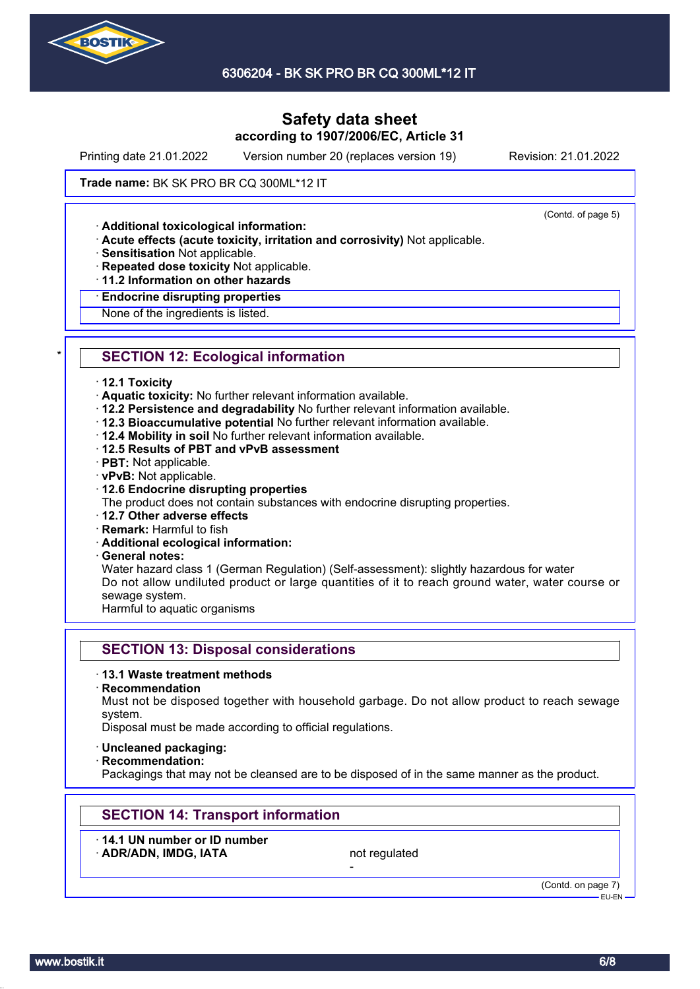

6306204 - BK SK PRO BR CQ 300ML\*12 IT

# **Safety data sheet according to 1907/2006/EC, Article 31**

Printing date 21.01.2022 Version number 20 (replaces version 19) Revision: 21.01.2022

(Contd. of page 5)

### **Trade name: BK SK PRO BR CQ 300ML\*12 IT**

· **Additional toxicological information:**

- · **Acute effects (acute toxicity, irritation and corrosivity)** Not applicable.
- · **Sensitisation** Not applicable.
- · **Repeated dose toxicity** Not applicable.
- · **11.2 Information on other hazards**

#### · **Endocrine disrupting properties**

None of the ingredients is listed.

# **SECTION 12: Ecological information**

#### · **12.1 Toxicity**

- · **Aquatic toxicity:** No further relevant information available.
- · **12.2 Persistence and degradability** No further relevant information available.
- · **12.3 Bioaccumulative potential** No further relevant information available.
- · **12.4 Mobility in soil** No further relevant information available.
- · **12.5 Results of PBT and vPvB assessment**
- · **PBT:** Not applicable.
- · **vPvB:** Not applicable.

### · **12.6 Endocrine disrupting properties**

The product does not contain substances with endocrine disrupting properties.

- · **12.7 Other adverse effects**
- · **Remark:** Harmful to fish
- · **Additional ecological information:**
- · **General notes:**

Water hazard class 1 (German Regulation) (Self-assessment): slightly hazardous for water Do not allow undiluted product or large quantities of it to reach ground water, water course or sewage system.

Harmful to aquatic organisms

## **SECTION 13: Disposal considerations**

#### · **13.1 Waste treatment methods**

· **Recommendation**

Must not be disposed together with household garbage. Do not allow product to reach sewage system.

Disposal must be made according to official regulations.

- · **Uncleaned packaging:**
- · **Recommendation:**

Packagings that may not be cleansed are to be disposed of in the same manner as the product.

-

## **SECTION 14: Transport information**

· **14.1 UN number or ID number** ADR/ADN, IMDG, IATA not regulated

(Contd. on page 7) EU-EN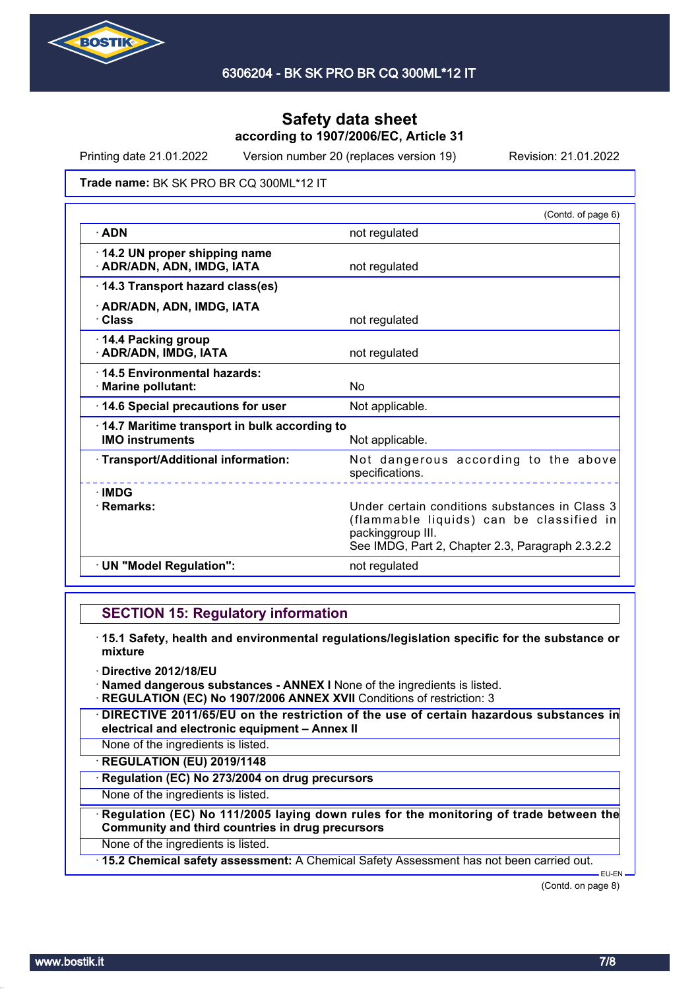

Printing date 21.01.2022 Version number 20 (replaces version 19) Revision: 21.01.2022

### **Trade name: BK SK PRO BR CQ 300ML\*12 IT**

|                                                                        | (Contd. of page 6)                                                                                                                                                  |
|------------------------------------------------------------------------|---------------------------------------------------------------------------------------------------------------------------------------------------------------------|
| $\cdot$ ADN                                                            | not regulated                                                                                                                                                       |
| 14.2 UN proper shipping name<br>· ADR/ADN, ADN, IMDG, IATA             | not regulated                                                                                                                                                       |
| 14.3 Transport hazard class(es)                                        |                                                                                                                                                                     |
| · ADR/ADN, ADN, IMDG, IATA<br>· Class                                  | not regulated                                                                                                                                                       |
| 14.4 Packing group<br>· ADR/ADN, IMDG, IATA                            | not regulated                                                                                                                                                       |
| 14.5 Environmental hazards:<br>· Marine pollutant:                     | No                                                                                                                                                                  |
| 14.6 Special precautions for user                                      | Not applicable.                                                                                                                                                     |
| 14.7 Maritime transport in bulk according to<br><b>IMO instruments</b> | Not applicable.                                                                                                                                                     |
| · Transport/Additional information:                                    | Not dangerous according to the above<br>specifications.                                                                                                             |
| $\cdot$ IMDG<br>· Remarks:                                             | Under certain conditions substances in Class 3<br>(flammable liquids) can be classified in<br>packinggroup III.<br>See IMDG, Part 2, Chapter 2.3, Paragraph 2.3.2.2 |
| · UN "Model Regulation":                                               | not regulated                                                                                                                                                       |

## **SECTION 15: Regulatory information**

- · **15.1 Safety, health and environmental regulations/legislation specific for the substance or mixture**
- · **Directive 2012/18/EU**
- · **Named dangerous substances ANNEX I** None of the ingredients is listed.
- · **REGULATION (EC) No 1907/2006 ANNEX XVII** Conditions of restriction: 3
- · **DIRECTIVE 2011/65/EU on the restriction of the use of certain hazardous substances in electrical and electronic equipment – Annex II**
- None of the ingredients is listed.
- · **REGULATION (EU) 2019/1148**
- · **Regulation (EC) No 273/2004 on drug precursors**
- None of the ingredients is listed.
- · **Regulation (EC) No 111/2005 laying down rules for the monitoring of trade between the Community and third countries in drug precursors**
- None of the ingredients is listed.
- · **15.2 Chemical safety assessment:** A Chemical Safety Assessment has not been carried out.

(Contd. on page 8)

EU-EN